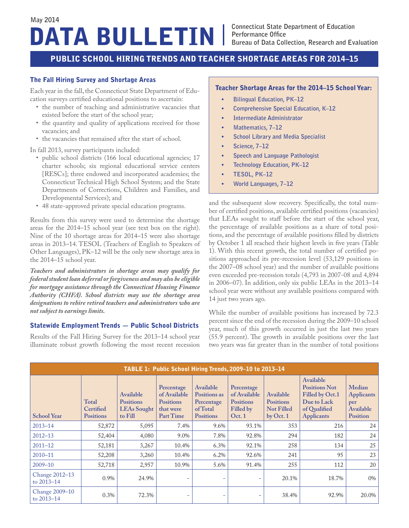# DATA BULLETIN **May 2014**

## PUBLIC SCHOOL HIRING TRENDS AND TEACHER SHORTAGE AREAS FOR 2014–15

### The Fall Hiring Survey and Shortage Areas

Each year in the fall, the Connecticut State Department of Education surveys certified educational positions to ascertain:

- the number of teaching and administrative vacancies that existed before the start of the school year;
- the quantity and quality of applications received for those vacancies; and
- the vacancies that remained after the start of school.

In fall 2013, survey participants included:

- public school districts (166 local educational agencies; 17 charter schools; six regional educational service centers [RESCs]; three endowed and incorporated academies; the Connecticut Technical High School System; and the State Departments of Corrections, Children and Families, and Developmental Services); and
- 48 state-approved private special education programs.

Results from this survey were used to determine the shortage areas for the 2014–15 school year (see text box on the right). Nine of the 10 shortage areas for 2014–15 were also shortage areas in 2013–14. TESOL (Teachers of English to Speakers of Other Languages), PK–12 will be the only new shortage area in the 2014–15 school year.

*Teachers and administrators in shortage areas may qualify for federal student loan deferral or forgiveness and may also be eligible for mortgage assistance through the Connecticut Housing Finance Authority (CHFA). School districts may use the shortage area designations to rehire retired teachers and administrators who are not subject to earnings limits.* 

### Statewide Employment Trends — Public School Districts

Results of the Fall Hiring Survey for the 2013–14 school year illuminate robust growth following the most recent recession

#### Teacher Shortage Areas for the 2014–15 School Year:

- **• Bilingual Education, PK–12**
- **• Comprehensive Special Education, K–12**
- **• Intermediate Administrator**
- **• Mathematics, 7–12**
- **• School Library and Media Specialist**
- **• Science, 7–12**
- **• Speech and Language Pathologist**
- **• Technology Education, PK–12**
- **• TESOL, PK–12**
- **• World Languages, 7–12**

and the subsequent slow recovery. Specifically, the total number of certified positions, available certified positions (vacancies) that LEAs sought to staff before the start of the school year, the percentage of available positions as a share of total positions, and the percentage of available positions filled by districts by October 1 all reached their highest levels in five years (Table 1). With this recent growth, the total number of certified positions approached its pre-recession level (53,129 positions in the 2007–08 school year) and the number of available positions even exceeded pre-recession totals (4,793 in 2007-08 and 4,894 in 2006–07). In addition, only six public LEAs in the 2013–14 school year were without any available positions compared with 14 just two years ago.

While the number of available positions has increased by 72.3 percent since the end of the recession during the 2009–10 school year, much of this growth occurred in just the last two years (55.9 percent). The growth in available positions over the last two years was far greater than in the number of total positions

|                              |                                        |                                                                |                                                                          |                                                                         | TABLE 1: Public School Hiring Trends, 2009-10 to 2013-14             |                                                                 |                                                                                                          |                                                             |
|------------------------------|----------------------------------------|----------------------------------------------------------------|--------------------------------------------------------------------------|-------------------------------------------------------------------------|----------------------------------------------------------------------|-----------------------------------------------------------------|----------------------------------------------------------------------------------------------------------|-------------------------------------------------------------|
| <b>School Year</b>           | Total<br>Certified<br><b>Positions</b> | Available<br><b>Positions</b><br><b>LEAs</b> Sought<br>to Fill | Percentage<br>of Available<br><b>Positions</b><br>that were<br>Part Time | Available<br>Positions as<br>Percentage<br>of Total<br><b>Positions</b> | Percentage<br>of Available<br><b>Positions</b><br>Filled by<br>Oct.1 | Available<br><b>Positions</b><br><b>Not Filled</b><br>by Oct. 1 | Available<br><b>Positions Not</b><br>Filled by Oct.1<br>Due to Lack<br>of Qualified<br><b>Applicants</b> | Median<br><b>Applicants</b><br>per<br>Available<br>Position |
| $2013 - 14$                  | 52,872                                 | 5,095                                                          | 7.4%                                                                     | 9.6%                                                                    | 93.1%                                                                | 353                                                             | 216                                                                                                      | 24                                                          |
| $2012 - 13$                  | 52,404                                 | 4,080                                                          | 9.0%                                                                     | 7.8%                                                                    | 92.8%                                                                | 294                                                             | 182                                                                                                      | 24                                                          |
| $2011 - 12$                  | 52,181                                 | 3,267                                                          | 10.4%                                                                    | 6.3%                                                                    | 92.1%                                                                | 258                                                             | 134                                                                                                      | 25                                                          |
| $2010 - 11$                  | 52,208                                 | 3,260                                                          | 10.4%                                                                    | 6.2%                                                                    | 92.6%                                                                | 241                                                             | 95                                                                                                       | 23                                                          |
| $2009 - 10$                  | 52,718                                 | 2,957                                                          | 10.9%                                                                    | 5.6%                                                                    | 91.4%                                                                | 255                                                             | 112                                                                                                      | 20                                                          |
| Change 2012-13<br>to 2013-14 | 0.9%                                   | 24.9%                                                          |                                                                          |                                                                         | $\overline{\phantom{0}}$                                             | 20.1%                                                           | 18.7%                                                                                                    | 0%                                                          |
| Change 2009-10<br>to 2013-14 | 0.3%                                   | 72.3%                                                          |                                                                          |                                                                         |                                                                      | 38.4%                                                           | 92.9%                                                                                                    | 20.0%                                                       |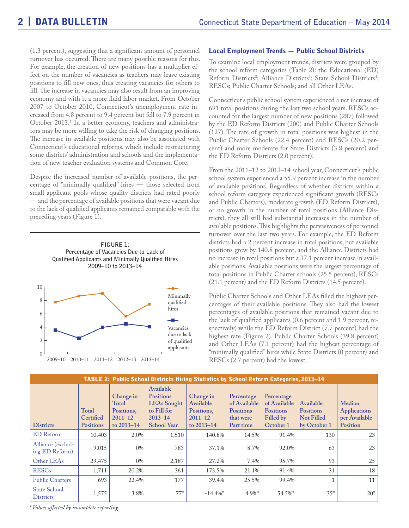(1.3 percent), suggesting that a significant amount of personnel turnover has occurred. There are many possible reasons for this. For example, the creation of new positions has a multiplier effect on the number of vacancies as teachers may leave existing positions to fill new ones, thus creating vacancies for others to fill. The increase in vacancies may also result from an improving economy and with it a more fluid labor market. From October 2007 to October 2010, Connecticut's unemployment rate increased from 4.8 percent to 9.4 percent but fell to 7.9 percent in October 2013.1 In a better economy, teachers and administrators may be more willing to take the risk of changing positions. The increase in available positions may also be associated with Connecticut's educational reforms, which include restructuring some districts' administration and schools and the implementation of new teacher evaluation systems and Common Core.

Despite the increased number of available positions, the percentage of "minimally qualified" hires — those selected from small applicant pools whose quality districts had rated poorly — and the percentage of available positions that were vacant due to the lack of qualified applicants remained comparable with the preceding years (Figure 1).





#### Local Employment Trends — Public School Districts

To examine local employment trends, districts were grouped by the school reform categories (Table 2): the Educational (ED) Reform Districts<sup>2</sup>; Alliance Districts<sup>3</sup>; State School Districts<sup>4</sup>; RESCs; Public Charter Schools; and all Other LEAs.

Connecticut's public school system experienced a net increase of 691 total positions during the last two school years. RESCs accounted for the largest number of new positions (287) followed by the ED Reform Districts (200) and Public Charter Schools (127). The rate of growth in total positions was highest in the Public Charter Schools (22.4 percent) and RESCs (20.2 percent) and more moderate for State Districts (3.8 percent) and the ED Reform Districts (2.0 percent).

From the 2011–12 to 2013–14 school year, Connecticut's public school system experienced a 55.9 percent increase in the number of available positions. Regardless of whether districts within a school reform category experienced significant growth (RESCs and Public Charters), moderate growth (ED Reform Districts), or no growth in the number of total positions (Alliance Districts), they all still had substantial increases in the number of available positions. This highlights the pervasiveness of personnel turnover over the last two years. For example, the ED Reform districts had a 2 percent increase in total positions, but available positions grew by 140.8 percent, and the Alliance Districts had no increase in total positions but a 37.1 percent increase in available positions. Available positions were the largest percentage of total positions in Public Charter schools (25.5 percent), RESCs (21.1 percent) and the ED Reform Districts (14.5 percent).

Public Charter Schools and Other LEAs filled the highest percentages of their available positions. They also had the lowest percentages of available positions that remained vacant due to the lack of qualified applicants (0.6 percent and 1.9 percent, respectively) while the ED Reform District (7.7 percent) had the highest rate (Figure 2). Public Charter Schools (39.8 percent) and Other LEAs (7.1 percent) had the highest percentage of "minimally qualified" hires while State Districts (0 percent) and RESCs (2.7 percent) had the lowest.

|                                         |                                               |                                                               | TABLE 2: Public School Districts Hiring Statistics by School Reform Categories, 2013-14                 |                                                                   |                                                                          |                                                                          |                                                                    |                                                            |
|-----------------------------------------|-----------------------------------------------|---------------------------------------------------------------|---------------------------------------------------------------------------------------------------------|-------------------------------------------------------------------|--------------------------------------------------------------------------|--------------------------------------------------------------------------|--------------------------------------------------------------------|------------------------------------------------------------|
| <b>Districts</b>                        | <b>Total</b><br>Certified<br><b>Positions</b> | Change in<br>Total<br>Positions,<br>$2011 - 12$<br>to 2013-14 | Available<br><b>Positions</b><br><b>LEAs Sought</b><br>to Fill for<br>$2013 - 14$<br><b>School Year</b> | Change in<br>Available<br>Positions,<br>$2011 - 12$<br>to 2013-14 | Percentage<br>of Available<br><b>Positions</b><br>that were<br>Part time | Percentage<br>of Available<br><b>Positions</b><br>Filled by<br>October 1 | Available<br><b>Positions</b><br><b>Not Filled</b><br>by October 1 | Median<br><b>Applications</b><br>per Available<br>Position |
| <b>ED</b> Reform                        | 10,403                                        | 2.0%                                                          | 1,510                                                                                                   | 140.8%                                                            | 14.5%                                                                    | 91.4%                                                                    | 130                                                                | 23                                                         |
| Alliance (exclud-<br>ing ED Reform)     | 9,015                                         | 0%                                                            | 783                                                                                                     | 37.1%                                                             | 8.7%                                                                     | 92.0%                                                                    | 63                                                                 | 23                                                         |
| Other LEAs                              | 29,475                                        | 0%                                                            | 2,187                                                                                                   | 27.2%                                                             | 7.4%                                                                     | 95.7%                                                                    | 93                                                                 | 25                                                         |
| <b>RESCs</b>                            | 1,711                                         | 20.2%                                                         | 361                                                                                                     | 173.5%                                                            | 21.1%                                                                    | 91.4%                                                                    | 31                                                                 | 18                                                         |
| <b>Public Charters</b>                  | 693                                           | 22.4%                                                         | 177                                                                                                     | 39.4%                                                             | 25.5%                                                                    | 99.4%                                                                    |                                                                    | 11                                                         |
| <b>State School</b><br><b>Districts</b> | 1,575                                         | 3.8%                                                          | $77*$                                                                                                   | $-14.4\%$ *                                                       | $4.9\%$ *                                                                | 54.5%*                                                                   | $35*$                                                              | $20*$                                                      |

*\* Values affected by incomplete reporting*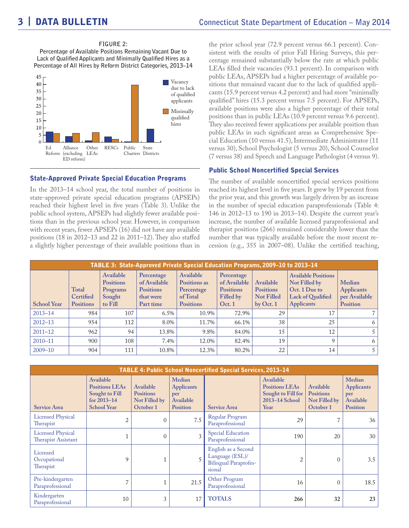**FIGURE 2: Percentage of Available Positions Remaining Vacant Due to Lack of Qualified Applicants and Minimally Qualified Hires as a Percentage of All Hires by Reform District Categories, 2013–14**



### State-Approved Private Special Education Programs

In the 2013–14 school year, the total number of positions in state-approved private special education programs (APSEPs) reached their highest level in five years (Table 3). Unlike the public school system, APSEPs had slightly fewer available positions than in the previous school year. However, in comparison with recent years, fewer APSEPs (16) did not have any available positions (18 in 2012–13 and 22 in 2011–12). They also staffed a slightly higher percentage of their available positions than in the prior school year (72.9 percent versus 66.1 percent). Consistent with the results of prior Fall Hiring Surveys, this percentage remained substantially below the rate at which public LEAs filled their vacancies (93.1 percent). In comparison with public LEAs, APSEPs had a higher percentage of available positions that remained vacant due to the lack of qualified applicants (15.9 percent versus 4.2 percent) and had more "minimally qualified" hires (15.3 percent versus 7.5 percent). For APSEPs, available positions were also a higher percentage of their total positions than in public LEAs (10.9 percent versus 9.6 percent). They also received fewer applications per available position than public LEAs in such significant areas as Comprehensive Special Education (10 versus 41.5), Intermediate Administrator (11 versus 30), School Psychologist (5 versus 20), School Counselor (7 versus 38) and Speech and Language Pathologist (4 versus 9).

#### Public School Noncertified Special Services

The number of available noncertified special services positions reached its highest level in five years. It grew by 19 percent from the prior year, and this growth was largely driven by an increase in the number of special education paraprofessionals (Table 4: 146 in 2012–13 to 190 in 2013–14). Despite the current year's increase, the number of available licensed paraprofessional and therapist positions (266) remained considerably lower than the number that was typically available before the most recent recession (e.g., 355 in 2007–08). Unlike the certified teaching,

|                    | <b>TABLE 3: State-Approved Private Special Education Programs, 2009–10 to 2013–14</b> |                                                                |                                                                          |                                                                         |                                                                      |                                                                 |                                                                                                        |                                                          |
|--------------------|---------------------------------------------------------------------------------------|----------------------------------------------------------------|--------------------------------------------------------------------------|-------------------------------------------------------------------------|----------------------------------------------------------------------|-----------------------------------------------------------------|--------------------------------------------------------------------------------------------------------|----------------------------------------------------------|
| <b>School Year</b> | <b>Total</b><br>Certified<br><b>Positions</b>                                         | Available<br><b>Positions</b><br>Programs<br>Sought<br>to Fill | Percentage<br>of Available<br><b>Positions</b><br>that were<br>Part time | Available<br>Positions as<br>Percentage<br>of Total<br><b>Positions</b> | Percentage<br>of Available<br><b>Positions</b><br>Filled by<br>Oct.1 | Available<br><b>Positions</b><br><b>Not Filled</b><br>by Oct. 1 | <b>Available Positions</b><br>Not Filled by<br>Oct. 1 Due to<br>Lack of Qualified<br><b>Applicants</b> | Median<br><b>Applicants</b><br>per Available<br>Position |
| $2013 - 14$        | 984                                                                                   | 107                                                            | 6.5%                                                                     | 10.9%                                                                   | 72.9%                                                                | 29                                                              | 17                                                                                                     |                                                          |
| $2012 - 13$        | 954                                                                                   | 112                                                            | 8.0%                                                                     | 11.7%                                                                   | 66.1%                                                                | 38                                                              | 25                                                                                                     | 6                                                        |
| $2011 - 12$        | 962                                                                                   | 94                                                             | 13.8%                                                                    | 9.8%                                                                    | 84.0%                                                                | 15                                                              | 12                                                                                                     | 5                                                        |
| $2010 - 11$        | 900                                                                                   | 108                                                            | 7.4%                                                                     | 12.0%                                                                   | 82.4%                                                                | 19                                                              | Q                                                                                                      | 6                                                        |
| $2009 - 10$        | 904                                                                                   | 111                                                            | 10.8%                                                                    | 12.3%                                                                   | 80.2%                                                                | 22                                                              | 14                                                                                                     |                                                          |

| <b>TABLE 4: Public School Noncertified Special Services, 2013-14</b> |                                                                                           |                                                             |                                                                    |                                                                                  |                                                                                    |                                                             |                                                                    |
|----------------------------------------------------------------------|-------------------------------------------------------------------------------------------|-------------------------------------------------------------|--------------------------------------------------------------------|----------------------------------------------------------------------------------|------------------------------------------------------------------------------------|-------------------------------------------------------------|--------------------------------------------------------------------|
| <b>Service Area</b>                                                  | Available<br><b>Positions LEAs</b><br>Sought to Fill<br>for 2013-14<br><b>School Year</b> | Available<br><b>Positions</b><br>Not Filled by<br>October 1 | Median<br><b>Applicants</b><br>per<br>Available<br><b>Position</b> | <b>Service Area</b>                                                              | Available<br><b>Positions LEAs</b><br>Sought to Fill for<br>2013-14 School<br>Year | Available<br><b>Positions</b><br>Not Filled by<br>October 1 | Median<br><b>Applicants</b><br>per<br>Available<br><b>Position</b> |
| <b>Licensed Physical</b><br>Therapist                                | 2                                                                                         | $\Omega$                                                    | 7.5                                                                | Regular Program<br>Paraprofessional                                              | 29                                                                                 | 7                                                           | 36                                                                 |
| <b>Licensed Physical</b><br>Therapist Assistant                      |                                                                                           | $\Omega$                                                    | 3                                                                  | <b>Special Education</b><br>Paraprofessional                                     | 190                                                                                | 20                                                          | 30                                                                 |
| Licensed<br>Occupational<br>Therapist                                | 9                                                                                         |                                                             | 5                                                                  | English as a Second<br>Language (ESL)/<br><b>Bilingual Paraprofes-</b><br>sional | 2                                                                                  | $\mathbf{0}$                                                | 3.5                                                                |
| Pre-kindergarten<br>Paraprofessional                                 | $\overline{7}$                                                                            |                                                             | 21.5                                                               | Other Program<br>Paraprofessional                                                | 16                                                                                 | $\mathbf{0}$                                                | 18.5                                                               |
| Kindergarten<br>Paraprofessional                                     | 10                                                                                        | 3                                                           | 17                                                                 | <b>TOTALS</b>                                                                    | 266                                                                                | 32                                                          | 23                                                                 |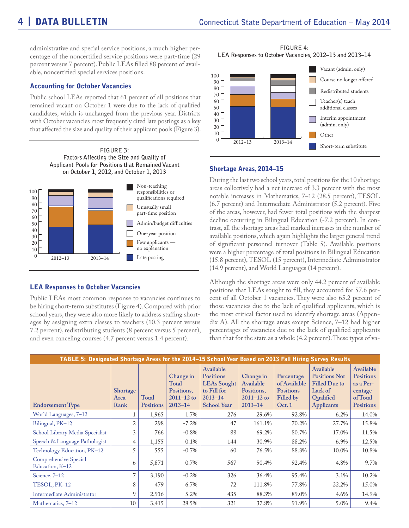**FIGURE 4:** 

administrative and special service positions, a much higher percentage of the noncertified service positions were part-time (29 percent versus 7 percent). Public LEAs filled 88 percent of available, noncertified special services positions.

#### Accounting for October Vacancies

Public school LEAs reported that 61 percent of all positions that remained vacant on October 1 were due to the lack of qualified candidates, which is unchanged from the previous year. Districts with October vacancies most frequently cited late postings as a key that affected the size and quality of their applicant pools (Figure 3).





#### LEA Responses to October Vacancies

Public LEAs most common response to vacancies continues to be hiring short-term substitutes (Figure 4). Compared with prior school years, they were also more likely to address staffing shortages by assigning extra classes to teachers (10.3 percent versus 7.2 percent), redistributing students (8 percent versus 5 percent), and even canceling courses (4.7 percent versus 1.4 percent).



#### Shortage Areas, 2014–15

During the last two school years, total positions for the 10 shortage areas collectively had a net increase of 3.3 percent with the most notable increases in Mathematics, 7–12 (28.5 percent), TESOL (6.7 percent) and Intermediate Administrator (5.2 percent). Five of the areas, however, had fewer total positions with the sharpest decline occurring in Bilingual Education (-7.2 percent). In contrast, all the shortage areas had marked increases in the number of available positions, which again highlights the larger general trend of significant personnel turnover (Table 5). Available positions were a higher percentage of total positions in Bilingual Education (15.8 percent), TESOL (15 percent), Intermediate Administrator (14.9 percent), and World Languages (14 percent).

Although the shortage areas were only 44.2 percent of available positions that LEAs sought to fill, they accounted for 57.6 percent of all October 1 vacancies. They were also 65.2 percent of those vacancies due to the lack of qualified applicants, which is the most critical factor used to identify shortage areas (Appendix A). All the shortage areas except Science, 7–12 had higher percentages of vacancies due to the lack of qualified applicants than that for the state as a whole (4.2 percent). These types of va-

| TABLE 5: Designated Shortage Areas for the 2014-15 School Year Based on 2013 Fall Hiring Survey Results |                                 |                           |                                                                          |                                                                                                         |                                                                       |                                                                       |                                                                                                        |                                                                                       |
|---------------------------------------------------------------------------------------------------------|---------------------------------|---------------------------|--------------------------------------------------------------------------|---------------------------------------------------------------------------------------------------------|-----------------------------------------------------------------------|-----------------------------------------------------------------------|--------------------------------------------------------------------------------------------------------|---------------------------------------------------------------------------------------|
| <b>Endorsement Type</b>                                                                                 | <b>Shortage</b><br>Area<br>Rank | Total<br><b>Positions</b> | Change in<br><b>Total</b><br>Positions,<br>$2011 - 12$ to<br>$2013 - 14$ | Available<br><b>Positions</b><br><b>LEAs Sought</b><br>to Fill for<br>$2013 - 14$<br><b>School Year</b> | Change in<br>Available<br>Positions,<br>$2011 - 12$ to<br>$2013 - 14$ | Percentage<br>of Available<br><b>Positions</b><br>Filled by<br>Oct. 1 | Available<br><b>Positions Not</b><br><b>Filled Due to</b><br>Lack of<br>Qualified<br><b>Applicants</b> | Available<br><b>Positions</b><br>as a Per-<br>centage<br>of Total<br><b>Positions</b> |
| World Languages, 7–12                                                                                   |                                 | 1,965                     | 1.7%                                                                     | 276                                                                                                     | 29.6%                                                                 | 92.8%                                                                 | 6.2%                                                                                                   | 14.0%                                                                                 |
| Bilingual, PK-12                                                                                        | $\overline{2}$                  | 298                       | $-7.2\%$                                                                 | 47                                                                                                      | 161.1%                                                                | 70.2%                                                                 | 27.7%                                                                                                  | 15.8%                                                                                 |
| School Library Media Specialist                                                                         | 3                               | 766                       | $-0.8%$                                                                  | 88                                                                                                      | 69.2%                                                                 | 80.7%                                                                 | 17.0%                                                                                                  | 11.5%                                                                                 |
| Speech & Language Pathologist                                                                           | $\overline{4}$                  | 1,155                     | $-0.1%$                                                                  | 144                                                                                                     | 30.9%                                                                 | 88.2%                                                                 | 6.9%                                                                                                   | 12.5%                                                                                 |
| Technology Education, PK-12                                                                             | 5                               | 555                       | $-0.7\%$                                                                 | 60                                                                                                      | 76.5%                                                                 | 88.3%                                                                 | 10.0%                                                                                                  | 10.8%                                                                                 |
| <b>Comprehensive Special</b><br>Education, K-12                                                         | 6                               | 5,871                     | 0.7%                                                                     | 567                                                                                                     | 50.4%                                                                 | 92.4%                                                                 | 4.8%                                                                                                   | 9.7%                                                                                  |
| Science, $7-12$                                                                                         | $\overline{7}$                  | 3,190                     | $-0.2%$                                                                  | 326                                                                                                     | 36.4%                                                                 | 95.4%                                                                 | 3.1%                                                                                                   | 10.2%                                                                                 |
| TESOL, PK-12                                                                                            | 8                               | 479                       | 6.7%                                                                     | 72                                                                                                      | 111.8%                                                                | 77.8%                                                                 | 22.2%                                                                                                  | 15.0%                                                                                 |
| Intermediate Administrator                                                                              | 9                               | 2,916                     | 5.2%                                                                     | 435                                                                                                     | 88.3%                                                                 | 89.0%                                                                 | 4.6%                                                                                                   | 14.9%                                                                                 |
| Mathematics, 7-12                                                                                       | 10                              | 3,415                     | 28.5%                                                                    | 321                                                                                                     | 37.8%                                                                 | 91.9%                                                                 | 5.0%                                                                                                   | 9.4%                                                                                  |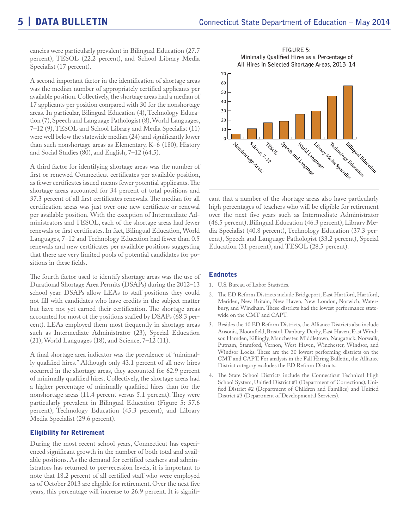cancies were particularly prevalent in Bilingual Education (27.7 percent), TESOL (22.2 percent), and School Library Media Specialist (17 percent).

A second important factor in the identification of shortage areas was the median number of appropriately certified applicants per available position. Collectively, the shortage areas had a median of 17 applicants per position compared with 30 for the nonshortage areas. In particular, Bilingual Education (4), Technology Education (7), Speech and Language Pathologist (8), World Languages, 7–12 (9), TESOL and School Library and Media Specialist (11) were well below the statewide median (24) and significantly lower than such nonshortage areas as Elementary, K–6 (180), History and Social Studies (80), and English, 7–12 (64.5).

A third factor for identifying shortage areas was the number of first or renewed Connecticut certificates per available position, as fewer certificates issued means fewer potential applicants. The shortage areas accounted for 34 percent of total positions and 37.3 percent of all first certificates renewals. The median for all certification areas was just over one new certificate or renewal per available position. With the exception of Intermediate Administrators and TESOL, each of the shortage areas had fewer renewals or first certificates. In fact, Bilingual Education, World Languages, 7–12 and Technology Education had fewer than 0.5 renewals and new certificates per available positions suggesting that there are very limited pools of potential candidates for positions in these fields.

The fourth factor used to identify shortage areas was the use of Durational Shortage Area Permits (DSAPs) during the 2012–13 school year. DSAPs allow LEAs to staff positions they could not fill with candidates who have credits in the subject matter but have not yet earned their certification. The shortage areas accounted for most of the positions staffed by DSAPs (68.3 percent). LEAs employed them most frequently in shortage areas such as Intermediate Administrator (23), Special Education (21), World Languages (18), and Science, 7–12 (11).

A final shortage area indicator was the prevalence of "minimally qualified hires." Although only 43.1 percent of all new hires occurred in the shortage areas, they accounted for 62.9 percent of minimally qualified hires. Collectively, the shortage areas had a higher percentage of minimally qualified hires than for the nonshortage areas (11.4 percent versus 5.1 percent). They were particularly prevalent in Bilingual Education (Figure 5: 57.6 percent), Technology Education (45.3 percent), and Library Media Specialist (29.6 percent).

#### Eligibility for Retirement

During the most recent school years, Connecticut has experienced significant growth in the number of both total and available positions. As the demand for certified teachers and administrators has returned to pre-recession levels, it is important to note that 18.2 percent of all certified staff who were employed as of October 2013 are eligible for retirement. Over the next five years, this percentage will increase to 26.9 percent. It is signifi-

**FIGURE 5: Minimally Qualified Hires as a Percentage of All Hires in Selected Shortage Areas, 2013–14**



cant that a number of the shortage areas also have particularly high percentages of teachers who will be eligible for retirement over the next five years such as Intermediate Administrator (46.5 percent), Bilingual Education (46.3 percent), Library Media Specialist (40.8 percent), Technology Education (37.3 percent), Speech and Language Pathologist (33.2 percent), Special Education (31 percent), and TESOL (28.5 percent).

### Endnotes

- 1. U.S. Bureau of Labor Statistics.
- 2. The ED Reform Districts include Bridgeport, East Hartford, Hartford, Meriden, New Britain, New Haven, New London, Norwich, Waterbury, and Windham. These districts had the lowest performance statewide on the CMT and CAPT.
- 3. Besides the 10 ED Reform Districts, the Alliance Districts also include Ansonia, Bloomfield, Bristol, Danbury, Derby, East Haven, East Windsor, Hamden, Killingly, Manchester, Middletown, Naugatuck, Norwalk, Putnam, Stamford, Vernon, West Haven, Winchester, Windsor, and Windsor Locks. These are the 30 lowest performing districts on the CMT and CAPT. For analysis in the Fall Hiring Bulletin, the Alliance District category excludes the ED Reform Districts.
- 4. The State School Districts include the Connecticut Technical High School System, Unified District #1 (Department of Corrections), Unified District #2 (Department of Children and Families) and Unified District #3 (Department of Developmental Services).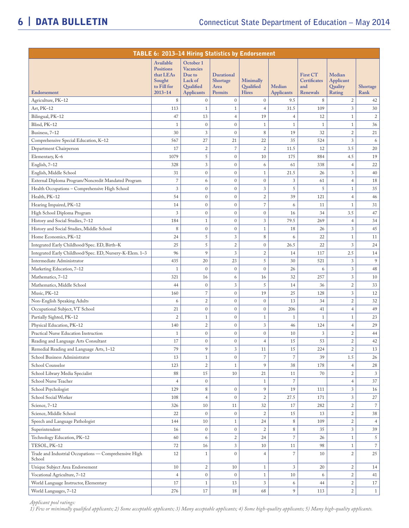| TABLE 6: 2013-14 Hiring Statistics by Endorsement               |                                                                     |                                                                 |                                |                               |                   |                                        |                                |                |
|-----------------------------------------------------------------|---------------------------------------------------------------------|-----------------------------------------------------------------|--------------------------------|-------------------------------|-------------------|----------------------------------------|--------------------------------|----------------|
|                                                                 | Available<br><b>Positions</b><br>that LEAs<br>Sought<br>to Fill for | October 1<br><b>Vacancies</b><br>Due to<br>Lack of<br>Qualified | Durational<br>Shortage<br>Area | Minimally<br><b>Oualified</b> | Median            | <b>First CT</b><br>Certificates<br>and | Median<br>Applicant<br>Quality | Shortage       |
| Endorsement                                                     | $2013 - 14$                                                         | <b>Applicants</b>                                               | Permits                        | <b>Hires</b>                  | <b>Applicants</b> | Renewals                               | Rating                         | Rank           |
| Agriculture, PK-12                                              | 8                                                                   | $\mathbf{0}$                                                    | $\mathbf{0}$                   | $\mathbf{0}$                  | 9.5               | $\,8\,$                                | $\boldsymbol{2}$               | 42             |
| Art, PK-12                                                      | 113                                                                 | $\mathbf{1}$                                                    | $\mathbf{1}$                   | $\overline{4}$                | 31.5              | 109                                    | 3                              | $30\,$         |
| Bilingual, PK-12                                                | 47                                                                  | 13                                                              | $\overline{4}$                 | 19                            | $\overline{4}$    | 12                                     | $\mathbf{1}$                   | $\overline{2}$ |
| Blind, PK-12                                                    | $1\,$                                                               | $\mathbf{0}$                                                    | $\mathbf{0}$                   | $1\,$                         | $\mathbf{1}$      | $\mathbf{1}$                           | $\mathbf{1}$                   | 36             |
| Business, 7-12                                                  | 30                                                                  | 3                                                               | $\mathbf{0}$                   | $\,8\,$                       | 19                | 32                                     | $\mathfrak 2$                  | $21\,$         |
| Comprehensive Special Education, K-12                           | 567                                                                 | 27                                                              | 21                             | 22                            | 35                | 524                                    | 3                              | 6              |
| Department Chairperson                                          | 17                                                                  | $\overline{2}$                                                  | $\overline{7}$                 | $\overline{2}$                | 11.5              | 12                                     | 3.5                            | 20             |
| Elementary, K-6                                                 | 1079                                                                | 5                                                               | $\mathbf{0}$                   | 10                            | 175               | 884                                    | 4.5                            | 19             |
| English, 7-12                                                   | 328                                                                 | 3                                                               | $\mathbf{0}$                   | 6                             | 61                | 338                                    | $\overline{4}$                 | 22             |
| English, Middle School                                          | 31                                                                  | $\mathbf{0}$                                                    | $\mathbf{0}$                   | $1\,$                         | 21.5              | 26                                     | 3                              | 40             |
| External Diploma Program/Noncredit Mandated Program             | $\overline{\phantom{a}}$                                            | 6                                                               | $\mathbf{0}$                   | $\boldsymbol{0}$              | 3                 | 61                                     | $\overline{4}$                 | 18             |
| Health Occupations - Comprehensive High School                  | 3                                                                   | $\mathbf{0}$                                                    | $\mathbf{0}$                   | 3                             | 5                 | 5                                      | $\mathbf{1}$                   | 35             |
| Health, PK-12                                                   | 54                                                                  | $\mathbf{0}$                                                    | $\mathbf{0}$                   | $\sqrt{2}$                    | 39                | 121                                    | $\overline{4}$                 | 46             |
| Hearing Impaired, PK-12                                         | 14                                                                  | $\mathbf{0}$                                                    | $\mathbf{0}$                   | $\overline{7}$                | 6                 | 11                                     | $\mathbf{1}$                   | 31             |
| High School Diploma Program                                     | 3                                                                   | $\mathbf{0}$                                                    | $\mathbf{0}$                   | $\boldsymbol{0}$              | 16                | 34                                     | 3.5                            | 47             |
| History and Social Studies, 7-12                                | 184                                                                 | $\mathbf{1}$                                                    | $\mathbf{0}$                   | $\mathfrak z$                 | 79.5              | 269                                    | $\overline{4}$                 | 34             |
| History and Social Studies, Middle School                       | 8                                                                   | $\mathbf{0}$                                                    | $\mathbf{0}$                   | $\mathbf{1}$                  | 18                | 26                                     | 3                              | 45             |
| Home Economics, PK-12                                           | 24                                                                  | 5                                                               | $\sqrt{3}$                     | $\,8\,$                       | 6                 | 22                                     | $\mathbf{1}$                   | 11             |
| Integrated Early Childhood/Spec. ED, Birth-K                    | 25                                                                  | 5                                                               | $\overline{c}$                 | $\boldsymbol{0}$              | 26.5              | 22                                     | 3                              | 24             |
| Integrated Early Childhood/Spec. ED, Nursery-K-Elem. 1-3        | 96                                                                  | 9                                                               | 3                              | $\sqrt{2}$                    | 14                | 117                                    | 2.5                            | 14             |
| Intermediate Administrator                                      | 435                                                                 | 20                                                              | 23                             | $\sqrt{5}$                    | 30                | 521                                    | 3                              | 9              |
| Marketing Education, 7-12                                       | $\,1\,$                                                             | $\mathbf{0}$                                                    | $\mathbf{0}$                   | $\boldsymbol{0}$              | 26                | 6                                      | 3                              | 48             |
| Mathematics, 7-12                                               | 321                                                                 | 16                                                              | 6                              | 16                            | 32                | 257                                    | 3                              | 10             |
| Mathematics, Middle School                                      | 44                                                                  | $\mathbf{0}$                                                    | $\sqrt{3}$                     | 5                             | 14                | 36                                     | $\overline{c}$                 | 33             |
| Music, PK-12                                                    | 160                                                                 | $\overline{7}$                                                  | $\boldsymbol{0}$               | 19                            | 25                | 128                                    | 3                              | 12             |
| Non-English Speaking Adults                                     | 6                                                                   | $\overline{c}$                                                  | $\boldsymbol{0}$               | $\boldsymbol{0}$              | 13                | 34                                     | $\overline{c}$                 | 32             |
| Occupational Subject, VT School                                 | 21                                                                  | $\mathbf 0$                                                     | $\boldsymbol{0}$               | $\boldsymbol{0}$              | 206               | 41                                     | $\overline{4}$                 | 49             |
| Partially Sighted, PK-12                                        | $\overline{c}$                                                      | $\mathbf{1}$                                                    | $\boldsymbol{0}$               | $\mathbf{1}$                  | $\mathbf{1}$      | $\mathbf{1}$                           | $\mathbf{1}$                   | 23             |
| Physical Education, PK-12                                       | 140                                                                 | $\overline{2}$                                                  | $\boldsymbol{0}$               | $\sqrt{3}$                    | 46                | 124                                    | $\overline{4}$                 | 29             |
| Practical Nurse Education Instruction                           | $\mathbf{1}$                                                        | $\mathbf 0$                                                     | $\mathbf{0}$                   | $\boldsymbol{0}$              | 10                | $\sqrt{3}$                             | $\overline{c}$                 | 44             |
| Reading and Language Arts Consultant                            | 17                                                                  | $\mathbf{0}$                                                    | $\mathbf{0}$                   | $\overline{4}$                | 15                | 53                                     | $\overline{c}$                 | 42             |
| Remedial Reading and Language Arts, 1-12                        | 79                                                                  | 9                                                               | $\sqrt{3}$                     | 11                            | 15                | 224                                    | $\mathbf{2}$                   | 13             |
| School Business Administrator                                   | 13                                                                  | $\mathbf{1}$                                                    | $\overline{0}$                 | $\overline{7}$                | $\overline{7}$    | 39                                     | $1.5\,$                        | 26             |
| School Counselor                                                | 123                                                                 | $\overline{c}$                                                  | $\mathbf{1}$                   | 9                             | 38                | 178                                    | $\overline{4}$                 | 28             |
| School Library Media Specialist                                 | 88                                                                  | 15                                                              | 10                             | 21                            | 11                | 70                                     | $\overline{c}$                 | 3              |
| School Nurse Teacher                                            | $\overline{4}$                                                      | $\mathbf{0}$                                                    |                                | $\mathbf{1}$                  | $\overline{7}$    |                                        | $\overline{4}$                 | 37             |
| School Psychologist                                             | 129                                                                 | 8                                                               | $\mathbf{0}$                   | 9                             | 19                | 111                                    | 3                              | 16             |
| School Social Worker                                            | 108                                                                 | $\overline{4}$                                                  | $\mathbf{0}$                   | $\mathfrak{2}$                | 27.5              | 171                                    | 3                              | 27             |
| Science, 7-12                                                   | 326                                                                 | 10                                                              | 11                             | 32                            | 17                | 282                                    | $\overline{c}$                 | $\overline{7}$ |
| Science, Middle School                                          | 22                                                                  | $\mathbf{0}$                                                    | $\boldsymbol{0}$               | $\overline{2}$                | 15                | 13                                     | $\overline{c}$                 | 38             |
| Speech and Language Pathologist                                 | 144                                                                 | 10                                                              | $\mathbf{1}$                   | 24                            | 8                 | 109                                    | $\overline{c}$                 | $\overline{4}$ |
| Superintendent                                                  | 16                                                                  | $\mathbf{0}$                                                    | $\boldsymbol{0}$               | $\overline{2}$                | $\,8\,$           | 35                                     | 3                              | 39             |
| Technology Education, PK-12                                     | 60                                                                  | 6                                                               | $\sqrt{2}$                     | 24                            | $\overline{7}$    | 26                                     | $\mathbf{1}$                   | 5              |
| TESOL, PK-12                                                    | 72                                                                  | 16                                                              | 3                              | 10                            | 11                | 98                                     | $\mathbf{1}$                   | $\overline{7}$ |
| Trade and Industrial Occupations - Comprehensive High<br>School | 12                                                                  | $\mathbf{1}$                                                    | $\mathbf{0}$                   | $\overline{4}$                | $\overline{7}$    | 10                                     | $\overline{2}$                 | 25             |
| Unique Subject Area Endorsement                                 | 10                                                                  | $\overline{c}$                                                  | 10                             | $\mathbf{1}$                  | 3                 | 20                                     | $\mathbf{2}$                   | 14             |
| Vocational Agriculture, 7-12                                    | $\overline{4}$                                                      | $\mathbf{0}$                                                    | $\mathbf{0}$                   | $\mathbf{1}$                  | 10                | 6                                      | $\overline{c}$                 | 41             |
| World Language Instructor, Elementary                           | 17                                                                  | $\mathbf{1}$                                                    | 13                             | $\mathfrak{Z}$                | 6                 | 44                                     | $\mathbf{2}$                   | 17             |
| World Languages, 7-12                                           | 276                                                                 | 17                                                              | 18                             | 68                            | 9                 | 113                                    | $\overline{c}$                 | $\mathbf{1}$   |

*Applicant pool ratings:* 

*1) Few or minimally qualified applicants; 2) Some acceptable applicants; 3) Many acceptable applicants; 4) Some high-quality applicants; 5) Many high-quality applicants.*